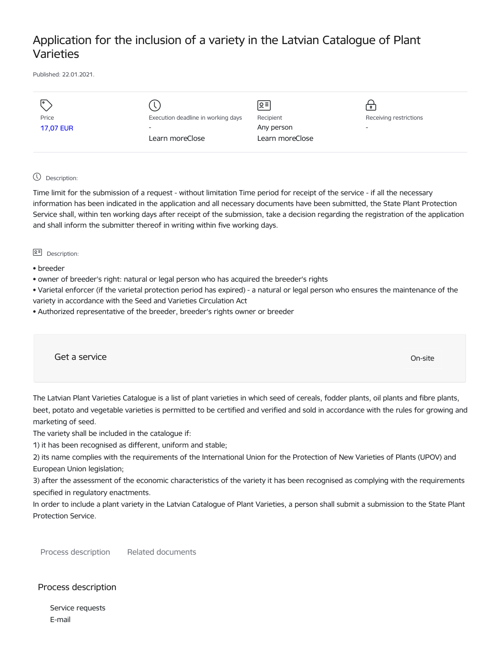# Application for the inclusion of a variety in the Latvian Catalogue of Plant Varieties

Published: 22.01.2021.

| I۰               |                                    | ୨.≡             | $\bullet$                |
|------------------|------------------------------------|-----------------|--------------------------|
| Price            | Execution deadline in working days | Recipient       | Receiving restrictions   |
| <b>17,07 EUR</b> | $\overline{\phantom{a}}$           | Any person      | $\overline{\phantom{a}}$ |
|                  | Learn moreClose                    | Learn moreClose |                          |
|                  |                                    |                 |                          |

## Description:

Time limit for the submission of a request - without limitation Time period for receipt of the service - if all the necessary information has been indicated in the application and all necessary documents have been submitted, the State Plant Protection Service shall, within ten working days after receipt of the submission, take a decision regarding the registration of the application and shall inform the submitter thereof in writing within five working days.

#### **B<sup>=</sup>** Description:

- breeder
- owner of breeder's right: natural or legal person who has acquired the breeder's rights

• Varietal enforcer (if the varietal protection period has expired) - a natural or legal person who ensures the maintenance of the variety in accordance with the Seed and Varieties Circulation Act

• Authorized representative of the breeder, breeder's rights owner or breeder

Get a service only a structure of the contract of the contract of the contract of the contract of the contract of the contract of the contract of the contract of the contract of the contract of the contract of the contract

The Latvian Plant Varieties Catalogue is a list of plant varieties in which seed of cereals, fodder plants, oil plants and fibre plants, beet, potato and vegetable varieties is permitted to be certified and verified and sold in accordance with the rules for growing and marketing of seed.

The variety shall be included in the catalogue if:

1) it has been recognised as different, uniform and stable;

2) its name complies with the requirements of the International Union for the Protection of New Varieties of Plants (UPOV) and European Union legislation;

3) after the assessment of the economic characteristics of the variety it has been recognised as complying with the requirements specified in regulatory enactments.

In order to include a plant variety in the Latvian Catalogue of Plant Varieties, a person shall submit a submission to the State Plant Protection Service.

Process description Related documents

# Process description

Service requests E-mail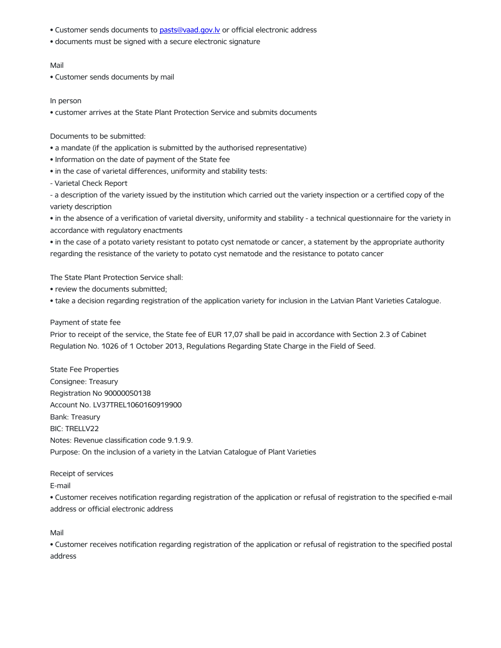- Customer sends documents to [pasts@vaad.gov.lv](mailto:pasts@vaad.gov.lv) or official electronic address
- documents must be signed with a secure electronic signature

### Mail

• Customer sends documents by mail

#### In person

• customer arrives at the State Plant Protection Service and submits documents

### Documents to be submitted:

- a mandate (if the application is submitted by the authorised representative)
- Information on the date of payment of the State fee
- in the case of varietal differences, uniformity and stability tests:
- Varietal Check Report

- a description of the variety issued by the institution which carried out the variety inspection or a certified copy of the variety description

• in the absence of a verification of varietal diversity, uniformity and stability - a technical questionnaire for the variety in accordance with regulatory enactments

• in the case of a potato variety resistant to potato cyst nematode or cancer, a statement by the appropriate authority regarding the resistance of the variety to potato cyst nematode and the resistance to potato cancer

The State Plant Protection Service shall:

- review the documents submitted;
- take a decision regarding registration of the application variety for inclusion in the Latvian Plant Varieties Catalogue.

### Payment of state fee

Prior to receipt of the service, the State fee of EUR 17,07 shall be paid in accordance with Section 2.3 of Cabinet Regulation No. 1026 of 1 October 2013, Regulations Regarding State Charge in the Field of Seed.

State Fee Properties Consignee: Treasury Registration No 90000050138 Account No. LV37TREL1060160919900 Bank: Treasury BIC: TRELLV22 Notes: Revenue classification code 9.1.9.9. Purpose: On the inclusion of a variety in the Latvian Catalogue of Plant Varieties

Receipt of services

E-mail

• Customer receives notification regarding registration of the application or refusal of registration to the specified e-mail address or official electronic address

Mail

• Customer receives notification regarding registration of the application or refusal of registration to the specified postal address